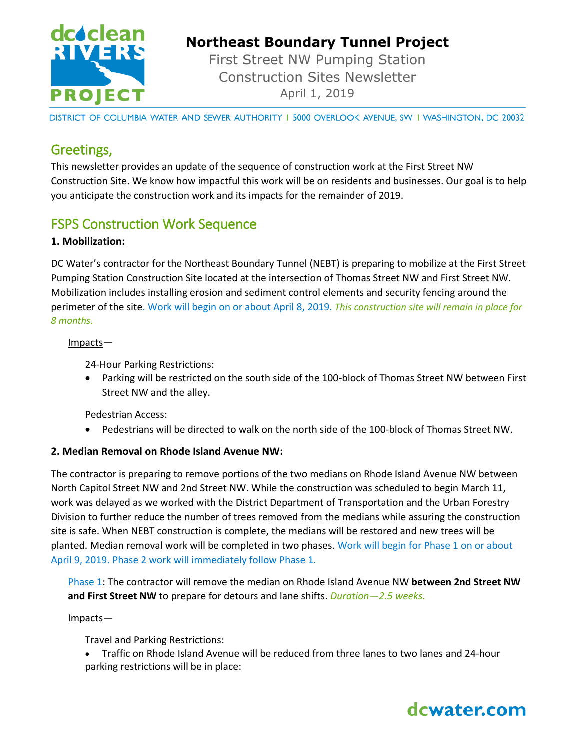

# **Northeast Boundary Tunnel Project**

First Street NW Pumping Station Construction Sites Newsletter April 1, 2019

DISTRICT OF COLUMBIA WATER AND SEWER AUTHORITY I 5000 OVERLOOK AVENUE, SW I WASHINGTON, DC 20032

### Greetings,

This newsletter provides an update of the sequence of construction work at the First Street NW Construction Site. We know how impactful this work will be on residents and businesses. Our goal is to help you anticipate the construction work and its impacts for the remainder of 2019.

## FSPS Construction Work Sequence

#### **1. Mobilization:**

DC Water's contractor for the Northeast Boundary Tunnel (NEBT) is preparing to mobilize at the First Street Pumping Station Construction Site located at the intersection of Thomas Street NW and First Street NW. Mobilization includes installing erosion and sediment control elements and security fencing around the perimeter of the site. Work will begin on or about April 8, 2019. *This construction site will remain in place for 8 months.* 

#### Impacts—

24-Hour Parking Restrictions:

 Parking will be restricted on the south side of the 100-block of Thomas Street NW between First Street NW and the alley.

Pedestrian Access:

Pedestrians will be directed to walk on the north side of the 100-block of Thomas Street NW.

#### **2. Median Removal on Rhode Island Avenue NW:**

The contractor is preparing to remove portions of the two medians on Rhode Island Avenue NW between North Capitol Street NW and 2nd Street NW. While the construction was scheduled to begin March 11, work was delayed as we worked with the District Department of Transportation and the Urban Forestry Division to further reduce the number of trees removed from the medians while assuring the construction site is safe. When NEBT construction is complete, the medians will be restored and new trees will be planted. Median removal work will be completed in two phases. Work will begin for Phase 1 on or about April 9, 2019. Phase 2 work will immediately follow Phase 1.

Phase 1: The contractor will remove the median on Rhode Island Avenue NW **between 2nd Street NW and First Street NW** to prepare for detours and lane shifts. *Duration—2.5 weeks.*

#### Impacts—

Travel and Parking Restrictions:

 Traffic on Rhode Island Avenue will be reduced from three lanes to two lanes and 24-hour parking restrictions will be in place: